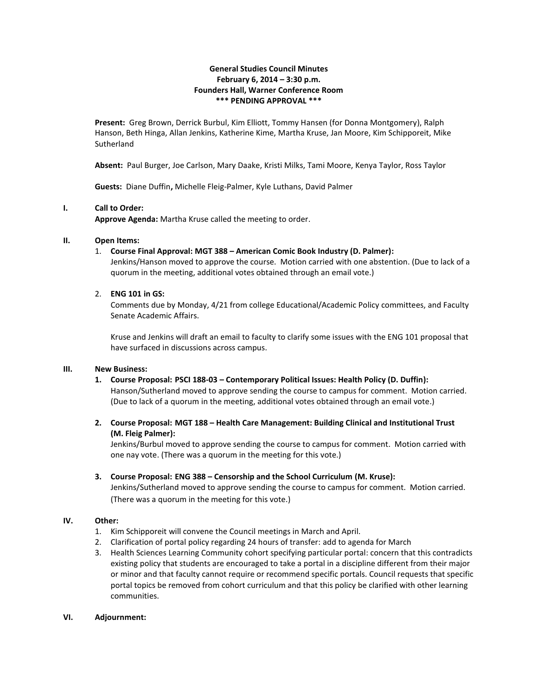## **General Studies Council Minutes February 6, 2014 – 3:30 p.m. Founders Hall, Warner Conference Room \*\*\* PENDING APPROVAL \*\*\***

**Present:** Greg Brown, Derrick Burbul, Kim Elliott, Tommy Hansen (for Donna Montgomery), Ralph Hanson, Beth Hinga, Allan Jenkins, Katherine Kime, Martha Kruse, Jan Moore, Kim Schipporeit, Mike **Sutherland** 

**Absent:** Paul Burger, Joe Carlson, Mary Daake, Kristi Milks, Tami Moore, Kenya Taylor, Ross Taylor

**Guests:** Diane Duffin**,** Michelle Fleig-Palmer, Kyle Luthans, David Palmer

## **I. Call to Order:**

**Approve Agenda:** Martha Kruse called the meeting to order.

## **II. Open Items:**

1. **Course Final Approval: MGT 388 – American Comic Book Industry (D. Palmer):**

Jenkins/Hanson moved to approve the course. Motion carried with one abstention. (Due to lack of a quorum in the meeting, additional votes obtained through an email vote.)

## 2. **ENG 101 in GS:**

Comments due by Monday, 4/21 from college Educational/Academic Policy committees, and Faculty Senate Academic Affairs.

Kruse and Jenkins will draft an email to faculty to clarify some issues with the ENG 101 proposal that have surfaced in discussions across campus.

#### **III. New Business:**

**1. Course Proposal: PSCI 188-03 – Contemporary Political Issues: Health Policy (D. Duffin):** Hanson/Sutherland moved to approve sending the course to campus for comment. Motion carried.

(Due to lack of a quorum in the meeting, additional votes obtained through an email vote.)

# **2. Course Proposal: MGT 188 – Health Care Management: Building Clinical and Institutional Trust (M. Fleig Palmer):**

Jenkins/Burbul moved to approve sending the course to campus for comment. Motion carried with one nay vote. (There was a quorum in the meeting for this vote.)

**3. Course Proposal: ENG 388 – Censorship and the School Curriculum (M. Kruse):**

Jenkins/Sutherland moved to approve sending the course to campus for comment. Motion carried. (There was a quorum in the meeting for this vote.)

# **IV. Other:**

- 1. Kim Schipporeit will convene the Council meetings in March and April.
- 2. Clarification of portal policy regarding 24 hours of transfer: add to agenda for March
- 3. Health Sciences Learning Community cohort specifying particular portal: concern that this contradicts existing policy that students are encouraged to take a portal in a discipline different from their major or minor and that faculty cannot require or recommend specific portals. Council requests that specific portal topics be removed from cohort curriculum and that this policy be clarified with other learning communities.

#### **VI. Adjournment:**